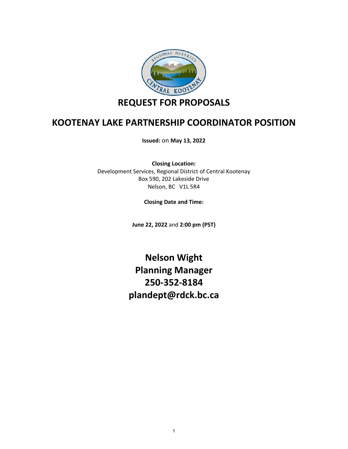

## **KOOTENAY LAKE PARTNERSHIP COORDINATOR POSITION**

**Issued:** on **May 13, 2022**

**Closing Location:** Development Services, Regional District of Central Kootenay Box 590, 202 Lakeside Drive Nelson, BC V1L 5R4

**Closing Date and Time:**

**June 22, 2022** and **2:00 pm (PST)**

**Nelson Wight Planning Manager 250-352-8184 plandept@rdck.bc.ca**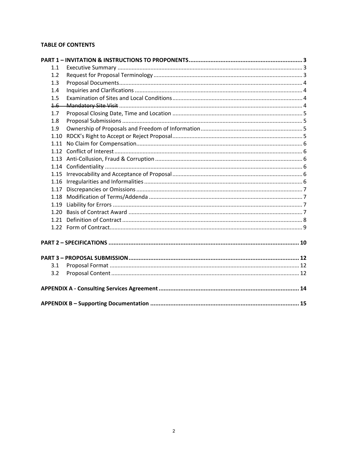## **TABLE OF CONTENTS**

| 1.1     |  |  |  |  |
|---------|--|--|--|--|
| 1.2     |  |  |  |  |
| 1.3     |  |  |  |  |
| 1.4     |  |  |  |  |
| 1.5     |  |  |  |  |
| $1.6 -$ |  |  |  |  |
| 1.7     |  |  |  |  |
| 1.8     |  |  |  |  |
| 1.9     |  |  |  |  |
| 1.10    |  |  |  |  |
|         |  |  |  |  |
|         |  |  |  |  |
|         |  |  |  |  |
|         |  |  |  |  |
|         |  |  |  |  |
|         |  |  |  |  |
|         |  |  |  |  |
|         |  |  |  |  |
|         |  |  |  |  |
| 1.20    |  |  |  |  |
|         |  |  |  |  |
|         |  |  |  |  |
|         |  |  |  |  |
|         |  |  |  |  |
|         |  |  |  |  |
| 3.1     |  |  |  |  |
| 3.2     |  |  |  |  |
|         |  |  |  |  |
|         |  |  |  |  |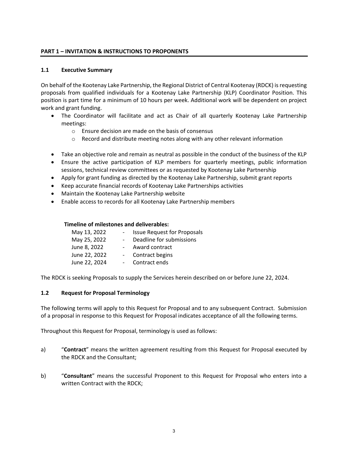#### <span id="page-2-0"></span>**PART 1 – INVITATION & INSTRUCTIONS TO PROPONENTS**

#### <span id="page-2-1"></span>**1.1 Executive Summary**

On behalf of the Kootenay Lake Partnership, the Regional District of Central Kootenay (RDCK) is requesting proposals from qualified individuals for a Kootenay Lake Partnership (KLP) Coordinator Position. This position is part time for a minimum of 10 hours per week. Additional work will be dependent on project work and grant funding.

- The Coordinator will facilitate and act as Chair of all quarterly Kootenay Lake Partnership meetings:
	- o Ensure decision are made on the basis of consensus
	- $\circ$  Record and distribute meeting notes along with any other relevant information
- Take an objective role and remain as neutral as possible in the conduct of the business of the KLP
- Ensure the active participation of KLP members for quarterly meetings, public information sessions, technical review committees or as requested by Kootenay Lake Partnership
- Apply for grant funding as directed by the Kootenay Lake Partnership, submit grant reports
- Keep accurate financial records of Kootenay Lake Partnerships activities
- Maintain the Kootenay Lake Partnership website
- Enable access to records for all Kootenay Lake Partnership members

#### **Timeline of milestones and deliverables:**

| May 13, 2022  | <b>Issue Request for Proposals</b> |
|---------------|------------------------------------|
| May 25, 2022  | Deadline for submissions           |
| June 8, 2022  | Award contract                     |
| June 22, 2022 | Contract begins                    |
| June 22, 2024 | Contract ends                      |

The RDCK is seeking Proposals to supply the Services herein described on or before June 22, 2024.

## <span id="page-2-2"></span>**1.2 Request for Proposal Terminology**

The following terms will apply to this Request for Proposal and to any subsequent Contract. Submission of a proposal in response to this Request for Proposal indicates acceptance of all the following terms.

Throughout this Request for Proposal, terminology is used as follows:

- a) "**Contract**" means the written agreement resulting from this Request for Proposal executed by the RDCK and the Consultant;
- b) "**Consultant**" means the successful Proponent to this Request for Proposal who enters into a written Contract with the RDCK;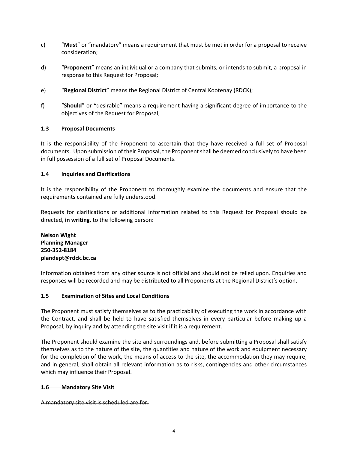- c) "**Must**" or "mandatory" means a requirement that must be met in order for a proposal to receive consideration;
- d) "**Proponent**" means an individual or a company that submits, or intends to submit, a proposal in response to this Request for Proposal;
- e) "**Regional District**" means the Regional District of Central Kootenay (RDCK);
- f) "**Should**" or "desirable" means a requirement having a significant degree of importance to the objectives of the Request for Proposal;

#### <span id="page-3-0"></span>**1.3 Proposal Documents**

It is the responsibility of the Proponent to ascertain that they have received a full set of Proposal documents. Upon submission of their Proposal, the Proponent shall be deemed conclusively to have been in full possession of a full set of Proposal Documents.

#### <span id="page-3-1"></span>**1.4 Inquiries and Clarifications**

It is the responsibility of the Proponent to thoroughly examine the documents and ensure that the requirements contained are fully understood.

Requests for clarifications or additional information related to this Request for Proposal should be directed, **in writing**, to the following person:

**Nelson Wight Planning Manager 250-352-8184 plandept@rdck.bc.ca**

Information obtained from any other source is not official and should not be relied upon. Enquiries and responses will be recorded and may be distributed to all Proponents at the Regional District's option.

#### <span id="page-3-2"></span>**1.5 Examination of Sites and Local Conditions**

The Proponent must satisfy themselves as to the practicability of executing the work in accordance with the Contract, and shall be held to have satisfied themselves in every particular before making up a Proposal, by inquiry and by attending the site visit if it is a requirement.

The Proponent should examine the site and surroundings and, before submitting a Proposal shall satisfy themselves as to the nature of the site, the quantities and nature of the work and equipment necessary for the completion of the work, the means of access to the site, the accommodation they may require, and in general, shall obtain all relevant information as to risks, contingencies and other circumstances which may influence their Proposal.

#### <span id="page-3-3"></span>**1.6 Mandatory Site Visit**

A mandatory site visit is scheduled are for**.**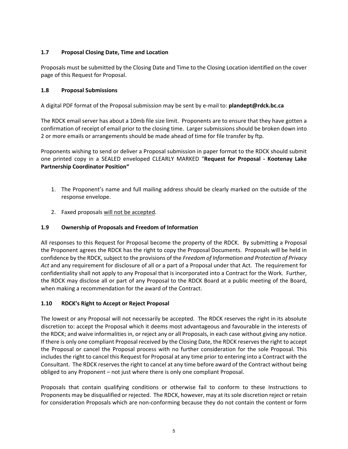## <span id="page-4-0"></span>**1.7 Proposal Closing Date, Time and Location**

Proposals must be submitted by the Closing Date and Time to the Closing Location identified on the cover page of this Request for Proposal.

## <span id="page-4-1"></span>**1.8 Proposal Submissions**

A digital PDF format of the Proposal submission may be sent by e-mail to: **plandept@rdck.bc.ca**

The RDCK email server has about a 10mb file size limit. Proponents are to ensure that they have gotten a confirmation of receipt of email prior to the closing time. Larger submissions should be broken down into 2 or more emails or arrangements should be made ahead of time for file transfer by ftp.

Proponents wishing to send or deliver a Proposal submission in paper format to the RDCK should submit one printed copy in a SEALED enveloped CLEARLY MARKED "**Request for Proposal - Kootenay Lake Partnership Coordinator Position"** 

- 1. The Proponent's name and full mailing address should be clearly marked on the outside of the response envelope.
- 2. Faxed proposals will not be accepted.

## <span id="page-4-2"></span>**1.9 Ownership of Proposals and Freedom of Information**

All responses to this Request for Proposal become the property of the RDCK. By submitting a Proposal the Proponent agrees the RDCK has the right to copy the Proposal Documents. Proposals will be held in confidence by the RDCK, subject to the provisions of the *Freedom of Information and Protection of Privacy Act* and any requirement for disclosure of all or a part of a Proposal under that Act*.* The requirement for confidentiality shall not apply to any Proposal that is incorporated into a Contract for the Work. Further, the RDCK may disclose all or part of any Proposal to the RDCK Board at a public meeting of the Board, when making a recommendation for the award of the Contract.

#### <span id="page-4-3"></span>**1.10 RDCK's Right to Accept or Reject Proposal**

The lowest or any Proposal will not necessarily be accepted. The RDCK reserves the right in its absolute discretion to: accept the Proposal which it deems most advantageous and favourable in the interests of the RDCK; and waive informalities in, or reject any or all Proposals, in each case without giving any notice. If there is only one compliant Proposal received by the Closing Date, the RDCK reserves the right to accept the Proposal or cancel the Proposal process with no further consideration for the sole Proposal. This includes the right to cancel this Request for Proposal at any time prior to entering into a Contract with the Consultant. The RDCK reserves the right to cancel at any time before award of the Contract without being obliged to any Proponent – not just where there is only one compliant Proposal.

Proposals that contain qualifying conditions or otherwise fail to conform to these Instructions to Proponents may be disqualified or rejected. The RDCK, however, may at its sole discretion reject or retain for consideration Proposals which are non-conforming because they do not contain the content or form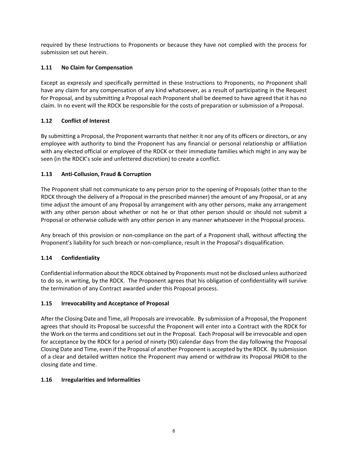required by these Instructions to Proponents or because they have not complied with the process for submission set out herein.

## <span id="page-5-0"></span>**1.11 No Claim for Compensation**

Except as expressly and specifically permitted in these Instructions to Proponents, no Proponent shall have any claim for any compensation of any kind whatsoever, as a result of participating in the Request for Proposal, and by submitting a Proposal each Proponent shall be deemed to have agreed that it has no claim. In no event will the RDCK be responsible for the costs of preparation or submission of a Proposal.

## <span id="page-5-1"></span>**1.12 Conflict of Interest**

By submitting a Proposal, the Proponent warrants that neither it nor any of its officers or directors, or any employee with authority to bind the Proponent has any financial or personal relationship or affiliation with any elected official or employee of the RDCK or their immediate families which might in any way be seen (in the RDCK's sole and unfettered discretion) to create a conflict.

## <span id="page-5-2"></span>**1.13 Anti-Collusion, Fraud & Corruption**

The Proponent shall not communicate to any person prior to the opening of Proposals (other than to the RDCK through the delivery of a Proposal in the prescribed manner) the amount of any Proposal, or at any time adjust the amount of any Proposal by arrangement with any other persons, make any arrangement with any other person about whether or not he or that other person should or should not submit a Proposal or otherwise collude with any other person in any manner whatsoever in the Proposal process.

Any breach of this provision or non-compliance on the part of a Proponent shall, without affecting the Proponent's liability for such breach or non-compliance, result in the Proposal's disqualification.

## <span id="page-5-3"></span>**1.14 Confidentiality**

Confidential information about the RDCK obtained by Proponents must not be disclosed unless authorized to do so, in writing, by the RDCK. The Proponent agrees that his obligation of confidentiality will survive the termination of any Contract awarded under this Proposal process.

## <span id="page-5-4"></span>**1.15 Irrevocability and Acceptance of Proposal**

After the Closing Date and Time, all Proposals are irrevocable. By submission of a Proposal, the Proponent agrees that should its Proposal be successful the Proponent will enter into a Contract with the RDCK for the Work on the terms and conditions set out in the Proposal. Each Proposal will be irrevocable and open for acceptance by the RDCK for a period of ninety (90) calendar days from the day following the Proposal Closing Date and Time, even if the Proposal of another Proponent is accepted by the RDCK. By submission of a clear and detailed written notice the Proponent may amend or withdraw its Proposal PRIOR to the closing date and time.

## <span id="page-5-5"></span>**1.16 Irregularities and Informalities**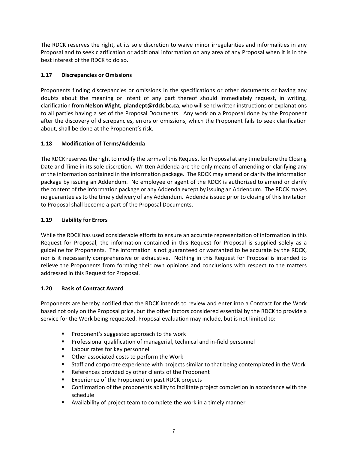The RDCK reserves the right, at its sole discretion to waive minor irregularities and informalities in any Proposal and to seek clarification or additional information on any area of any Proposal when it is in the best interest of the RDCK to do so.

## <span id="page-6-0"></span>**1.17 Discrepancies or Omissions**

Proponents finding discrepancies or omissions in the specifications or other documents or having any doubts about the meaning or intent of any part thereof should immediately request, in writing, clarification from **Nelson Wight, plandept@rdck.bc.ca**, who will send written instructions or explanations to all parties having a set of the Proposal Documents. Any work on a Proposal done by the Proponent after the discovery of discrepancies, errors or omissions, which the Proponent fails to seek clarification about, shall be done at the Proponent's risk.

## <span id="page-6-1"></span>**1.18 Modification of Terms/Addenda**

The RDCK reserves the right to modify the terms of this Request for Proposal at any time before the Closing Date and Time in its sole discretion. Written Addenda are the only means of amending or clarifying any of the information contained in the information package. The RDCK may amend or clarify the information package by issuing an Addendum. No employee or agent of the RDCK is authorized to amend or clarify the content of the information package or any Addenda except by issuing an Addendum. The RDCK makes no guarantee as to the timely delivery of any Addendum. Addenda issued prior to closing of this Invitation to Proposal shall become a part of the Proposal Documents.

## <span id="page-6-2"></span>**1.19 Liability for Errors**

While the RDCK has used considerable efforts to ensure an accurate representation of information in this Request for Proposal, the information contained in this Request for Proposal is supplied solely as a guideline for Proponents. The information is not guaranteed or warranted to be accurate by the RDCK, nor is it necessarily comprehensive or exhaustive. Nothing in this Request for Proposal is intended to relieve the Proponents from forming their own opinions and conclusions with respect to the matters addressed in this Request for Proposal.

## <span id="page-6-3"></span>**1.20 Basis of Contract Award**

Proponents are hereby notified that the RDCK intends to review and enter into a Contract for the Work based not only on the Proposal price, but the other factors considered essential by the RDCK to provide a service for the Work being requested. Proposal evaluation may include, but is not limited to:

- **Proponent's suggested approach to the work**
- **Professional qualification of managerial, technical and in-field personnel**
- **EXEC** Labour rates for key personnel
- **Deta** Other associated costs to perform the Work
- Staff and corporate experience with projects similar to that being contemplated in the Work
- References provided by other clients of the Proponent
- **EXperience of the Proponent on past RDCK projects**
- **Confirmation of the proponents ability to facilitate project completion in accordance with the** schedule
- Availability of project team to complete the work in a timely manner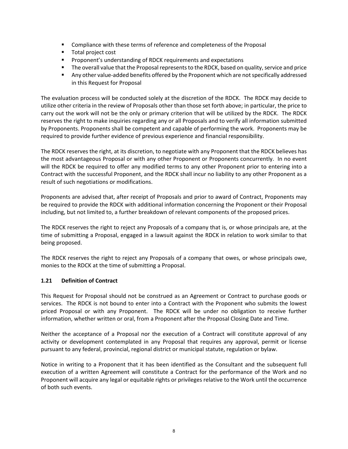- **Compliance with these terms of reference and completeness of the Proposal**
- **Total project cost**
- **Proponent's understanding of RDCK requirements and expectations**
- **The overall value that the Proposal represents to the RDCK, based on quality, service and price**
- Any other value-added benefits offered by the Proponent which are not specifically addressed in this Request for Proposal

The evaluation process will be conducted solely at the discretion of the RDCK. The RDCK may decide to utilize other criteria in the review of Proposals other than those set forth above; in particular, the price to carry out the work will not be the only or primary criterion that will be utilized by the RDCK. The RDCK reserves the right to make inquiries regarding any or all Proposals and to verify all information submitted by Proponents. Proponents shall be competent and capable of performing the work. Proponents may be required to provide further evidence of previous experience and financial responsibility.

The RDCK reserves the right, at its discretion, to negotiate with any Proponent that the RDCK believes has the most advantageous Proposal or with any other Proponent or Proponents concurrently. In no event will the RDCK be required to offer any modified terms to any other Proponent prior to entering into a Contract with the successful Proponent, and the RDCK shall incur no liability to any other Proponent as a result of such negotiations or modifications.

Proponents are advised that, after receipt of Proposals and prior to award of Contract, Proponents may be required to provide the RDCK with additional information concerning the Proponent or their Proposal including, but not limited to, a further breakdown of relevant components of the proposed prices.

The RDCK reserves the right to reject any Proposals of a company that is, or whose principals are, at the time of submitting a Proposal, engaged in a lawsuit against the RDCK in relation to work similar to that being proposed.

The RDCK reserves the right to reject any Proposals of a company that owes, or whose principals owe, monies to the RDCK at the time of submitting a Proposal.

#### <span id="page-7-0"></span>**1.21 Definition of Contract**

This Request for Proposal should not be construed as an Agreement or Contract to purchase goods or services. The RDCK is not bound to enter into a Contract with the Proponent who submits the lowest priced Proposal or with any Proponent. The RDCK will be under no obligation to receive further information, whether written or oral, from a Proponent after the Proposal Closing Date and Time.

Neither the acceptance of a Proposal nor the execution of a Contract will constitute approval of any activity or development contemplated in any Proposal that requires any approval, permit or license pursuant to any federal, provincial, regional district or municipal statute, regulation or bylaw.

Notice in writing to a Proponent that it has been identified as the Consultant and the subsequent full execution of a written Agreement will constitute a Contract for the performance of the Work and no Proponent will acquire any legal or equitable rights or privileges relative to the Work until the occurrence of both such events.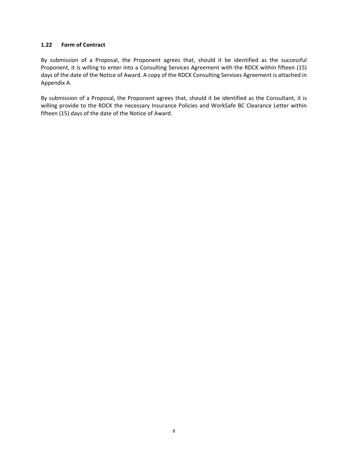#### <span id="page-8-0"></span>**1.22 Form of Contract**

By submission of a Proposal, the Proponent agrees that, should it be identified as the successful Proponent, it is willing to enter into a Consulting Services Agreement with the RDCK within fifteen (15) days of the date of the Notice of Award. A copy of the RDCK Consulting Services Agreement is attached in Appendix A.

By submission of a Proposal, the Proponent agrees that, should it be identified as the Consultant, it is willing provide to the RDCK the necessary Insurance Policies and WorkSafe BC Clearance Letter within fifteen (15) days of the date of the Notice of Award.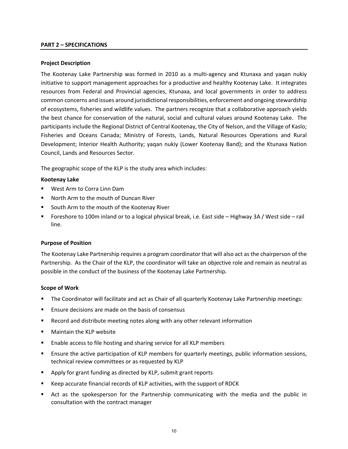#### <span id="page-9-0"></span>**PART 2 – SPECIFICATIONS**

#### **Project Description**

The Kootenay Lake Partnership was formed in 2010 as a multi-agency and Ktunaxa and yaqan nukiy initiative to support management approaches for a productive and healthy Kootenay Lake. It integrates resources from Federal and Provincial agencies, Ktunaxa, and local governments in order to address common concerns and issues around jurisdictional responsibilities, enforcement and ongoing stewardship of ecosystems, fisheries and wildlife values. The partners recognize that a collaborative approach yields the best chance for conservation of the natural, social and cultural values around Kootenay Lake. The participants include the Regional District of Central Kootenay, the City of Nelson, and the Village of Kaslo; Fisheries and Oceans Canada; Ministry of Forests, Lands, Natural Resources Operations and Rural Development; Interior Health Authority; yaqan nukiy (Lower Kootenay Band); and the Ktunaxa Nation Council, Lands and Resources Sector.

The geographic scope of the KLP is the study area which includes:

#### **Kootenay Lake**

- West Arm to Corra Linn Dam
- North Arm to the mouth of Duncan River
- South Arm to the mouth of the Kootenay River
- Foreshore to 100m inland or to a logical physical break, i.e. East side Highway 3A / West side rail line.

#### **Purpose of Position**

The Kootenay Lake Partnership requires a program coordinator that will also act as the chairperson of the Partnership. As the Chair of the KLP, the coordinator will take an objective role and remain as neutral as possible in the conduct of the business of the Kootenay Lake Partnership.

#### **Scope of Work**

- The Coordinator will facilitate and act as Chair of all quarterly Kootenay Lake Partnership meetings:
- **Ensure decisions are made on the basis of consensus**
- Record and distribute meeting notes along with any other relevant information
- Maintain the KLP website
- Enable access to file hosting and sharing service for all KLP members
- **Ensure the active participation of KLP members for quarterly meetings, public information sessions,** technical review committees or as requested by KLP
- Apply for grant funding as directed by KLP, submit grant reports
- Keep accurate financial records of KLP activities, with the support of RDCK
- Act as the spokesperson for the Partnership communicating with the media and the public in consultation with the contract manager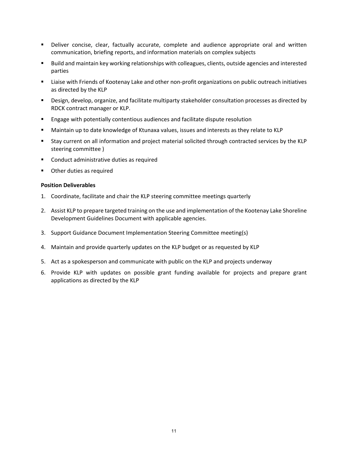- Deliver concise, clear, factually accurate, complete and audience appropriate oral and written communication, briefing reports, and information materials on complex subjects
- Build and maintain key working relationships with colleagues, clients, outside agencies and interested parties
- **EXECT** Liaise with Friends of Kootenay Lake and other non-profit organizations on public outreach initiatives as directed by the KLP
- Design, develop, organize, and facilitate multiparty stakeholder consultation processes as directed by RDCK contract manager or KLP.
- Engage with potentially contentious audiences and facilitate dispute resolution
- Maintain up to date knowledge of Ktunaxa values, issues and interests as they relate to KLP
- Stay current on all information and project material solicited through contracted services by the KLP steering committee )
- **EXECONDUCT ADMINISTER CONDUCT ADMINIST** Conduct administrative duties as required
- Other duties as required

#### **Position Deliverables**

- 1. Coordinate, facilitate and chair the KLP steering committee meetings quarterly
- 2. Assist KLP to prepare targeted training on the use and implementation of the Kootenay Lake Shoreline Development Guidelines Document with applicable agencies.
- 3. Support Guidance Document Implementation Steering Committee meeting(s)
- 4. Maintain and provide quarterly updates on the KLP budget or as requested by KLP
- 5. Act as a spokesperson and communicate with public on the KLP and projects underway
- 6. Provide KLP with updates on possible grant funding available for projects and prepare grant applications as directed by the KLP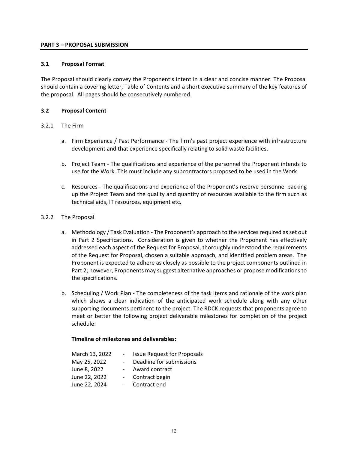#### <span id="page-11-0"></span>**PART 3 – PROPOSAL SUBMISSION**

#### <span id="page-11-1"></span>**3.1 Proposal Format**

The Proposal should clearly convey the Proponent's intent in a clear and concise manner. The Proposal should contain a covering letter, Table of Contents and a short executive summary of the key features of the proposal. All pages should be consecutively numbered.

#### <span id="page-11-2"></span>**3.2 Proposal Content**

#### 3.2.1 The Firm

- a. Firm Experience / Past Performance The firm's past project experience with infrastructure development and that experience specifically relating to solid waste facilities.
- b. Project Team The qualifications and experience of the personnel the Proponent intends to use for the Work. This must include any subcontractors proposed to be used in the Work
- c. Resources The qualifications and experience of the Proponent's reserve personnel backing up the Project Team and the quality and quantity of resources available to the firm such as technical aids, IT resources, equipment etc.

#### 3.2.2 The Proposal

- a. Methodology / Task Evaluation The Proponent's approach to the services required as set out in Part 2 Specifications. Consideration is given to whether the Proponent has effectively addressed each aspect of the Request for Proposal, thoroughly understood the requirements of the Request for Proposal, chosen a suitable approach, and identified problem areas. The Proponent is expected to adhere as closely as possible to the project components outlined in Part 2; however, Proponents may suggest alternative approaches or propose modifications to the specifications.
- b. Scheduling / Work Plan The completeness of the task items and rationale of the work plan which shows a clear indication of the anticipated work schedule along with any other supporting documents pertinent to the project. The RDCK requests that proponents agree to meet or better the following project deliverable milestones for completion of the project schedule:

#### **Timeline of milestones and deliverables:**

| March 13, 2022 | <b>Issue Request for Proposals</b> |
|----------------|------------------------------------|
| May 25, 2022   | Deadline for submissions           |
| June 8, 2022   | Award contract                     |
| June 22, 2022  | Contract begin                     |
| June 22, 2024  | Contract end                       |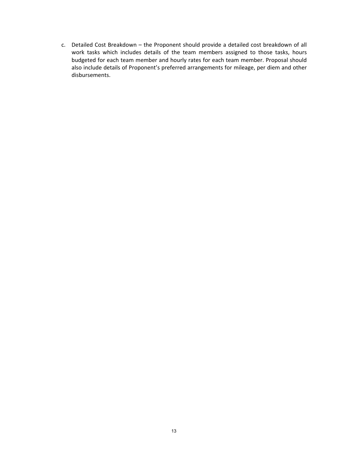c. Detailed Cost Breakdown – the Proponent should provide a detailed cost breakdown of all work tasks which includes details of the team members assigned to those tasks, hours budgeted for each team member and hourly rates for each team member. Proposal should also include details of Proponent's preferred arrangements for mileage, per diem and other disbursements.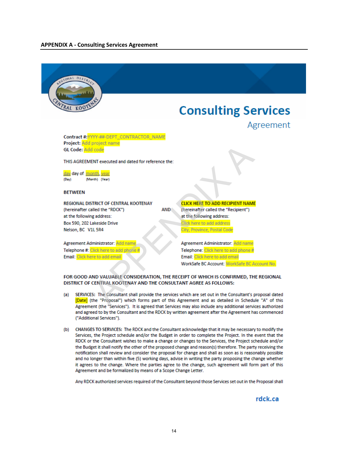<span id="page-13-0"></span>

# **Consulting Services**



Contract #: YYYY-##-DEPT\_CONTRACTOR\_NAME

 $(Day)$ 

#### **RFTWFFN**

- 
- properties and dated for reference the:<br> **ENT secured and dated for reference the:**<br> **ENT secured and dated for reference the:**<br> **AND**<br> **AND**<br> **ENTERT OF ADD RECIPIENT NAME and alled the "ROGOT"<br>
<b>AND**<br> **AND**<br> **ENTERT ARE**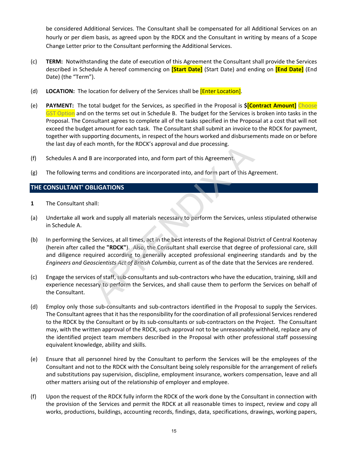be considered Additional Services. The Consultant shall be compensated for all Additional Services on an hourly or per diem basis, as agreed upon by the RDCK and the Consultant in writing by means of a Scope Change Letter prior to the Consultant performing the Additional Services.

- (c) **TERM:** Notwithstanding the date of execution of this Agreement the Consultant shall provide the Services described in Schedule A hereof commencing on **[Start Date]** (Start Date) and ending on **[End Date]** (End Date) (the "Term").
- (d) **LOCATION:** The location for delivery of the Services shall be [Enter Location].
- (e) **PAYMENT:** The total budget for the Services, as specified in the Proposal is **\$[Contract Amount]** Choose GST Option and on the terms set out in Schedule B. The budget for the Services is broken into tasks in the Proposal. The Consultant agrees to complete all of the tasks specified in the Proposal at a cost that will not exceed the budget amount for each task. The Consultant shall submit an invoice to the RDCK for payment, together with supporting documents, in respect of the hours worked and disbursements made on or before the last day of each month, for the RDCK's approval and due processing.
- (f) Schedules A and B are incorporated into, and form part of this Agreement.
- (g) The following terms and conditions are incorporated into, and form part of this Agreement.

## **THE CONSULTANT' OBLIGATIONS**

- **1** The Consultant shall:
- (a) Undertake all work and supply all materials necessary to perform the Services, unless stipulated otherwise in Schedule A.
- (b) In performing the Services, at all times, act in the best interests of the Regional District of Central Kootenay (herein after called the **"RDCK"**). Also, the Consultant shall exercise that degree of professional care, skill and diligence required according to generally accepted professional engineering standards and by the *Engineers and Geoscientists Act of British Columbia*, current as of the date that the Services are rendered.
- (c) Engage the services of staff, sub-consultants and sub-contractors who have the education, training, skill and experience necessary to perform the Services, and shall cause them to perform the Services on behalf of the Consultant.
- (d) Employ only those sub-consultants and sub-contractors identified in the Proposal to supply the Services. The Consultant agrees that it has the responsibility for the coordination of all professional Services rendered to the RDCK by the Consultant or by its sub-consultants or sub-contractors on the Project. The Consultant may, with the written approval of the RDCK, such approval not to be unreasonably withheld, replace any of the identified project team members described in the Proposal with other professional staff possessing equivalent knowledge, ability and skills. the morth, for the RDCK's approval and due processing.<br>
are incorporated into, and form part of this Agreement.<br>
In and conditions are incorporated into, and form part of this Agreement.<br>
Is and conditions are incorporated
- (e) Ensure that all personnel hired by the Consultant to perform the Services will be the employees of the Consultant and not to the RDCK with the Consultant being solely responsible for the arrangement of reliefs and substitutions pay supervision, discipline, employment insurance, workers compensation, leave and all other matters arising out of the relationship of employer and employee.
- (f) Upon the request of the RDCK fully inform the RDCK of the work done by the Consultant in connection with the provision of the Services and permit the RDCK at all reasonable times to inspect, review and copy all works, productions, buildings, accounting records, findings, data, specifications, drawings, working papers,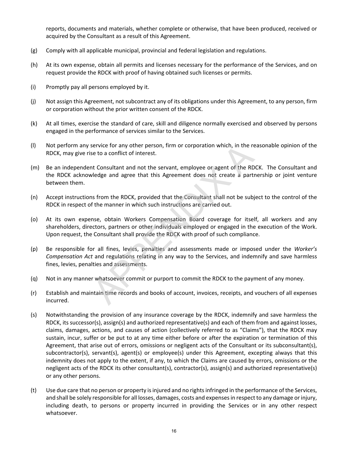reports, documents and materials, whether complete or otherwise, that have been produced, received or acquired by the Consultant as a result of this Agreement.

- (g) Comply with all applicable municipal, provincial and federal legislation and regulations.
- (h) At its own expense, obtain all permits and licenses necessary for the performance of the Services, and on request provide the RDCK with proof of having obtained such licenses or permits.
- (i) Promptly pay all persons employed by it.
- (j) Not assign this Agreement, not subcontract any of its obligations under this Agreement, to any person, firm or corporation without the prior written consent of the RDCK.
- (k) At all times, exercise the standard of care, skill and diligence normally exercised and observed by persons engaged in the performance of services similar to the Services.
- (l) Not perform any service for any other person, firm or corporation which, in the reasonable opinion of the RDCK, may give rise to a conflict of interest.
- (m) Be an independent Consultant and not the servant, employee or agent of the RDCK. The Consultant and the RDCK acknowledge and agree that this Agreement does not create a partnership or joint venture between them.
- (n) Accept instructions from the RDCK, provided that the Consultant shall not be subject to the control of the RDCK in respect of the manner in which such instructions are carried out.
- (o) At its own expense, obtain Workers Compensation Board coverage for itself, all workers and any shareholders, directors, partners or other individuals employed or engaged in the execution of the Work. Upon request, the Consultant shall provide the RDCK with proof of such compliance.
- (p) Be responsible for all fines, levies, penalties and assessments made or imposed under the *Worker's Compensation Act* and regulations relating in any way to the Services, and indemnify and save harmless fines, levies, penalties and assessments.
- (q) Not in any manner whatsoever commit or purport to commit the RDCK to the payment of any money.
- (r) Establish and maintain time records and books of account, invoices, receipts, and vouchers of all expenses incurred.
- (s) Notwithstanding the provision of any insurance coverage by the RDCK, indemnify and save harmless the RDCK, its successor(s), assign(s) and authorized representative(s) and each of them from and against losses, claims, damages, actions, and causes of action (collectively referred to as "Claims"), that the RDCK may sustain, incur, suffer or be put to at any time either before or after the expiration or termination of this Agreement, that arise out of errors, omissions or negligent acts of the Consultant or its subconsultant(s), subcontractor(s), servant(s), agent(s) or employee(s) under this Agreement, excepting always that this indemnity does not apply to the extent, if any, to which the Claims are caused by errors, omissions or the negligent acts of the RDCK its other consultant(s), contractor(s), assign(s) and authorized representative(s) or any other persons. service for any other person, firm or corporation which, in the re<br>
the te to a conflict of interest.<br>
It Consultant and not the servant, employee or agent of the RD<br>
dedge and agree that this Agreement does not create a p
- (t) Use due care that no person or property is injured and no rights infringed in the performance of the Services, and shall be solely responsible for all losses, damages, costs and expenses in respect to any damage or injury, including death, to persons or property incurred in providing the Services or in any other respect whatsoever.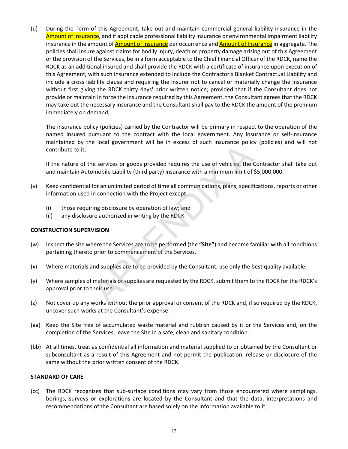(u) During the Term of this Agreement, take out and maintain commercial general liability insurance in the Amount of Insurance, and if applicable professional liability insurance or environmental impairment liability insurance in the amount of **Amount of Insurance** per occurrence and **Amount of Insurance** in aggregate. The policies shall insure against claims for bodily injury, death or property damage arising out of this Agreement or the provision of the Services, be in a form acceptable to the Chief Financial Officer of the RDCK**,** name the RDCK as an additional insured and shall provide the RDCK with a certificate of insurance upon execution of this Agreement, with such insurance extended to include the Contractor's Blanket Contractual Liability and include a cross liability clause and requiring the insurer not to cancel or materially change the insurance without first giving the RDCK thirty days' prior written notice; provided that if the Consultant does not provide or maintain in force the insurance required by this Agreement, the Consultant agrees that the RDCK may take out the necessary insurance and the Consultant shall pay to the RDCK the amount of the premium immediately on demand;

The insurance policy (policies) carried by the Contractor will be primary in respect to the operation of the named insured pursuant to the contract with the local government. Any insurance or self-insurance maintained by the local government will be in excess of such insurance policy (policies) and will not contribute to it;

If the nature of the services or goods provided requires the use of vehicles, the Contractor shall take out and maintain Automobile Liability (third party) insurance with a minimum limit of \$5,000,000.

- (v) Keep confidential for an unlimited period of time all communications, plans, specifications, reports or other information used in connection with the Project except:
	- (i) those requiring disclosure by operation of law; and
	- (ii) any disclosure authorized in writing by the RDCK.

#### **CONSTRUCTION SUPERVISION**

- (w) Inspect the site where the Services are to be performed (the **"Site"**) and become familiar with all conditions pertaining thereto prior to commencement of the Services.
- (x) Where materials and supplies are to be provided by the Consultant, use only the best quality available.
- (y) Where samples of materials or supplies are requested by the RDCK, submit them to the RDCK for the RDCK's approval prior to their use.
- (z) Not cover up any works without the prior approval or consent of the RDCK and, if so required by the RDCK, uncover such works at the Consultant's expense.
- (aa) Keep the Site free of accumulated waste material and rubbish caused by it or the Services and, on the completion of the Services, leave the Site in a safe, clean and sanitary condition.
- (bb) At all times, treat as confidential all information and material supplied to or obtained by the Consultant or subconsultant as a result of this Agreement and not permit the publication, release or disclosure of the same without the prior written consent of the RDCK.

#### **STANDARD OF CARE**

(cc) The RDCK recognizes that sub-surface conditions may vary from those encountered where samplings, borings, surveys or explorations are located by the Consultant and that the data, interpretations and recommendations of the Consultant are based solely on the information available to it. e local goveniment will be all exacts of social insurance poncy<br>
the services or goods provided requires the use of vehicles, the C<br>
mobile Liability (third party) insurance with a minimum limit of f<br>
for an unlimited peri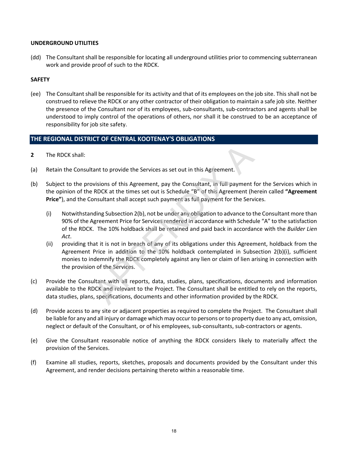#### **UNDERGROUND UTILITIES**

(dd) The Consultant shall be responsible for locating all underground utilities prior to commencing subterranean work and provide proof of such to the RDCK.

#### **SAFETY**

(ee) The Consultant shall be responsible for its activity and that of its employees on the job site. This shall not be construed to relieve the RDCK or any other contractor of their obligation to maintain a safe job site. Neither the presence of the Consultant nor of its employees, sub-consultants, sub-contractors and agents shall be understood to imply control of the operations of others, nor shall it be construed to be an acceptance of responsibility for job site safety.

### **THE REGIONAL DISTRICT OF CENTRAL KOOTENAY'S OBLIGATIONS**

- **2** The RDCK shall:
- (a) Retain the Consultant to provide the Services as set out in this Agreement.
- (b) Subject to the provisions of this Agreement, pay the Consultant, in full payment for the Services which in the opinion of the RDCK at the times set out is Schedule "B" of this Agreement (herein called **"Agreement Price"**), and the Consultant shall accept such payment as full payment for the Services.
- (i) Notwithstanding Subsection 2(b), not be under any obligation to advance to the Consultant more than 90% of the Agreement Price for Services rendered in accordance with Schedule "A" to the satisfaction of the RDCK. The 10% holdback shall be retained and paid back in accordance with the *Builder Lien Act*. tant to provide the Services as set out in this Agreement.<br>
Solvisions of this Agreement, pay the Consultant, in full payment f<br>
RDCK at the times set out is Schedule "B" of this Agreement (he<br>
Solvistiant shall accept suc
	- (ii) providing that it is not in breach of any of its obligations under this Agreement, holdback from the Agreement Price in addition to the 10% holdback contemplated in Subsection 2(b)(i), sufficient monies to indemnify the RDCK completely against any lien or claim of lien arising in connection with the provision of the Services.
- (c) Provide the Consultant with all reports, data, studies, plans, specifications, documents and information available to the RDCK and relevant to the Project. The Consultant shall be entitled to rely on the reports, data studies, plans, specifications, documents and other information provided by the RDCK.
- (d) Provide access to any site or adjacent properties as required to complete the Project. The Consultant shall be liable for any and all injury or damage which may occur to persons or to property due to any act, omission, neglect or default of the Consultant, or of his employees, sub-consultants, sub-contractors or agents.
- (e) Give the Consultant reasonable notice of anything the RDCK considers likely to materially affect the provision of the Services.
- (f) Examine all studies, reports, sketches, proposals and documents provided by the Consultant under this Agreement, and render decisions pertaining thereto within a reasonable time.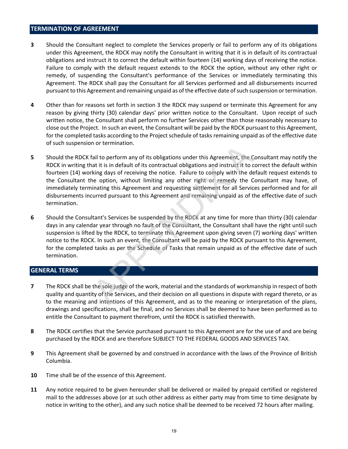#### **TERMINATION OF AGREEMENT**

- **3** Should the Consultant neglect to complete the Services properly or fail to perform any of its obligations under this Agreement, the RDCK may notify the Consultant in writing that it is in default of its contractual obligations and instruct it to correct the default within fourteen (14) working days of receiving the notice. Failure to comply with the default request extends to the RDCK the option, without any other right or remedy, of suspending the Consultant's performance of the Services or immediately terminating this Agreement. The RDCK shall pay the Consultant for all Services performed and all disbursements incurred pursuant to this Agreement and remaining unpaid as of the effective date of such suspension or termination.
- **4** Other than for reasons set forth in section 3 the RDCK may suspend or terminate this Agreement for any reason by giving thirty (30) calendar days' prior written notice to the Consultant. Upon receipt of such written notice, the Consultant shall perform no further Services other than those reasonably necessary to close out the Project. In such an event, the Consultant will be paid by the RDCK pursuant to this Agreement, for the completed tasks according to the Project schedule of tasks remaining unpaid as of the effective date of such suspension or termination.
- **5** Should the RDCK fail to perform any of its obligations under this Agreement, the Consultant may notify the RDCK in writing that it is in default of its contractual obligations and instruct it to correct the default within fourteen (14) working days of receiving the notice. Failure to comply with the default request extends to the Consultant the option, without limiting any other right or remedy the Consultant may have, of immediately terminating this Agreement and requesting settlement for all Services performed and for all disbursements incurred pursuant to this Agreement and remaining unpaid as of the effective date of such termination. ial to perform any of its obligations under this Agreement, the Cast it is in default of its contractual obligations and instruct it to comply with the detail of its contractual obligations and instruct it to comply with t
- **6** Should the Consultant's Services be suspended by the RDCK at any time for more than thirty (30) calendar days in any calendar year through no fault of the Consultant, the Consultant shall have the right until such suspension is lifted by the RDCK, to terminate this Agreement upon giving seven (7) working days' written notice to the RDCK. In such an event, the Consultant will be paid by the RDCK pursuant to this Agreement, for the completed tasks as per the Schedule of Tasks that remain unpaid as of the effective date of such termination.

#### **GENERAL TERMS**

- **7** The RDCK shall be the sole judge of the work, material and the standards of workmanship in respect of both quality and quantity of the Services, and their decision on all questions in dispute with regard thereto, or as to the meaning and intentions of this Agreement, and as to the meaning or interpretation of the plans, drawings and specifications, shall be final, and no Services shall be deemed to have been performed as to entitle the Consultant to payment therefrom, until the RDCK is satisfied therewith.
- **8** The RDCK certifies that the Service purchased pursuant to this Agreement are for the use of and are being purchased by the RDCK and are therefore SUBJECT TO THE FEDERAL GOODS AND SERVICES TAX.
- **9** This Agreement shall be governed by and construed in accordance with the laws of the Province of British Columbia.
- **10** Time shall be of the essence of this Agreement.
- **11** Any notice required to be given hereunder shall be delivered or mailed by prepaid certified or registered mail to the addresses above (or at such other address as either party may from time to time designate by notice in writing to the other), and any such notice shall be deemed to be received 72 hours after mailing.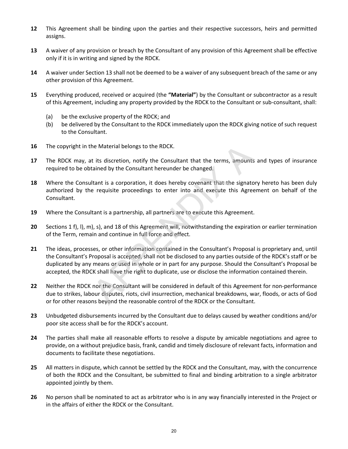- **12** This Agreement shall be binding upon the parties and their respective successors, heirs and permitted assigns.
- **13** A waiver of any provision or breach by the Consultant of any provision of this Agreement shall be effective only if it is in writing and signed by the RDCK.
- **14** A waiver under Section 13 shall not be deemed to be a waiver of any subsequent breach of the same or any other provision of this Agreement.
- **15** Everything produced, received or acquired (the **"Material"**) by the Consultant or subcontractor as a result of this Agreement, including any property provided by the RDCK to the Consultant or sub-consultant, shall:
	- (a) be the exclusive property of the RDCK; and
	- (b) be delivered by the Consultant to the RDCK immediately upon the RDCK giving notice of such request to the Consultant.
- **16** The copyright in the Material belongs to the RDCK.
- **17** The RDCK may, at its discretion, notify the Consultant that the terms, amounts and types of insurance required to be obtained by the Consultant hereunder be changed.
- **18** Where the Consultant is a corporation, it does hereby covenant that the signatory hereto has been duly authorized by the requisite proceedings to enter into and execute this Agreement on behalf of the Consultant.
- **19** Where the Consultant is a partnership, all partners are to execute this Agreement.
- **20** Sections 1 f), l), m), s), and 18 of this Agreement will, notwithstanding the expiration or earlier termination of the Term, remain and continue in full force and effect.
- **21** The ideas, processes, or other information contained in the Consultant's Proposal is proprietary and, until the Consultant's Proposal is accepted, shall not be disclosed to any parties outside of the RDCK's staff or be duplicated by any means or used in whole or in part for any purpose. Should the Consultant's Proposal be accepted, the RDCK shall have the right to duplicate, use or disclose the information contained therein. The Material belongs to the RDCK.<br>
It is discretion, notify the Consultant that the terms, amounts<br>
it is discretion, notify the Consultant hat the terms, amounts<br>
itand by the Consultant hereunder be changed.<br>
Itant is a
- **22** Neither the RDCK nor the Consultant will be considered in default of this Agreement for non-performance due to strikes, labour disputes, riots, civil insurrection, mechanical breakdowns, war, floods, or acts of God or for other reasons beyond the reasonable control of the RDCK or the Consultant.
- **23** Unbudgeted disbursements incurred by the Consultant due to delays caused by weather conditions and/or poor site access shall be for the RDCK's account.
- **24** The parties shall make all reasonable efforts to resolve a dispute by amicable negotiations and agree to provide, on a without prejudice basis, frank, candid and timely disclosure of relevant facts, information and documents to facilitate these negotiations.
- **25** All matters in dispute, which cannot be settled by the RDCK and the Consultant, may, with the concurrence of both the RDCK and the Consultant, be submitted to final and binding arbitration to a single arbitrator appointed jointly by them.
- **26** No person shall be nominated to act as arbitrator who is in any way financially interested in the Project or in the affairs of either the RDCK or the Consultant.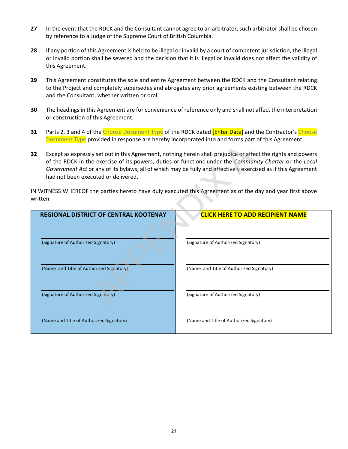- **27** In the event that the RDCK and the Consultant cannot agree to an arbitrator, such arbitrator shall be chosen by reference to a Judge of the Supreme Court of British Columbia.
- **28** If any portion of this Agreement is held to be illegal or invalid by a court of competent jurisdiction, the illegal or invalid portion shall be severed and the decision that it is illegal or invalid does not affect the validity of this Agreement.
- **29** This Agreement constitutes the sole and entire Agreement between the RDCK and the Consultant relating to the Project and completely supersedes and abrogates any prior agreements existing between the RDCK and the Consultant, whether written or oral.
- **30** The headings in this Agreement are for convenience of reference only and shall not affect the interpretation or construction of this Agreement.
- **31** Parts 2, 3 and 4 of the Choose Document Type of the RDCK dated *[Enter Date]* and the Contractor's Choose Document Type provided in response are hereby incorporated into and forms part of this Agreement.
- **32** Except as expressly set out in this Agreement, nothing herein shall prejudice or affect the rights and powers of the RDCK in the exercise of its powers, duties or functions under the *Community Charter* or the *Local Government Act* or any of its bylaws, all of which may be fully and effectively exercised as if this Agreement had not been executed or delivered.

| 32 | Except as expressly set out in this Agreement, nothing herein shall prejudice or affect the rights and powers<br>of the RDCK in the exercise of its powers, duties or functions under the Community Charter or the Local<br>Government Act or any of its bylaws, all of which may be fully and effectively exercised as if this Agreement<br>had not been executed or delivered. |                                                                                                            |  |  |  |
|----|----------------------------------------------------------------------------------------------------------------------------------------------------------------------------------------------------------------------------------------------------------------------------------------------------------------------------------------------------------------------------------|------------------------------------------------------------------------------------------------------------|--|--|--|
|    | written.                                                                                                                                                                                                                                                                                                                                                                         | IN WITNESS WHEREOF the parties hereto have duly executed this Agreement as of the day and year first above |  |  |  |
|    | REGIONAL DISTRICT OF CENTRAL KOOTENAY                                                                                                                                                                                                                                                                                                                                            | <b>CLICK HERE TO ADD RECIPIENT NAME</b>                                                                    |  |  |  |
|    | (Signature of Authorized Signatory)                                                                                                                                                                                                                                                                                                                                              | (Signature of Authorized Signatory)                                                                        |  |  |  |
|    | (Name and Title of Authorized Signatory)                                                                                                                                                                                                                                                                                                                                         | (Name and Title of Authorized Signatory)                                                                   |  |  |  |
|    | (Signature of Authorized Signatory)                                                                                                                                                                                                                                                                                                                                              | (Signature of Authorized Signatory)                                                                        |  |  |  |
|    | (Name and Title of Authorized Signatory)                                                                                                                                                                                                                                                                                                                                         | (Name and Title of Authorized Signatory)                                                                   |  |  |  |
|    |                                                                                                                                                                                                                                                                                                                                                                                  |                                                                                                            |  |  |  |
|    |                                                                                                                                                                                                                                                                                                                                                                                  |                                                                                                            |  |  |  |
|    |                                                                                                                                                                                                                                                                                                                                                                                  |                                                                                                            |  |  |  |
|    |                                                                                                                                                                                                                                                                                                                                                                                  |                                                                                                            |  |  |  |
|    | 21                                                                                                                                                                                                                                                                                                                                                                               |                                                                                                            |  |  |  |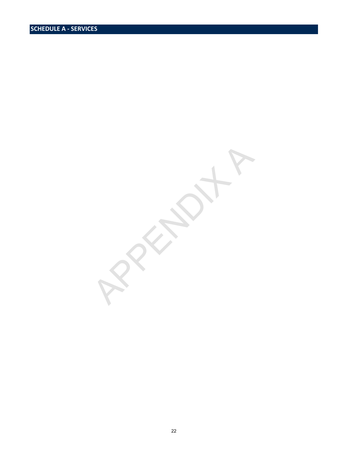22 APPENDIX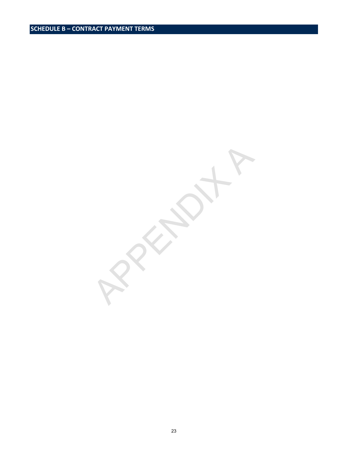**PRAIL**